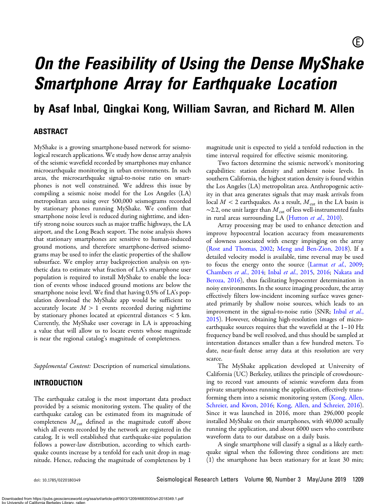# On the Feasibility of Using the Dense MyShake<br>Smartphone Array for Earthquake Location Smartphone Array for Earthquake Location

by Asaf Inbal, Qingkai Kong, William Savran, and Richard M. Allen

## ABSTRACT

MyShake is a growing smartphone-based network for seismological research applications. We study how dense array analysis of the seismic wavefield recorded by smartphones may enhance microearthquake monitoring in urban environments. In such areas, the microearthquake signal-to-noise ratio on smartphones is not well constrained. We address this issue by compiling a seismic noise model for the Los Angeles (LA) metropolitan area using over 500,000 seismograms recorded by stationary phones running MyShake. We confirm that smartphone noise level is reduced during nighttime, and identify strong noise sources such as major traffic highways, the LA airport, and the Long Beach seaport. The noise analysis shows that stationary smartphones are sensitive to human-induced ground motions, and therefore smartphone-derived seismograms may be used to infer the elastic properties of the shallow subsurface. We employ array backprojection analysis on synthetic data to estimate what fraction of LA's smartphone user population is required to install MyShake to enable the location of events whose induced ground motions are below the smartphone noise level. We find that having 0.5% of LA's population download the MyShake app would be sufficient to accurately locate  $M > 1$  events recorded during nighttime by stationary phones located at epicentral distances < 5 km. Currently, the MyShake user coverage in LA is approaching a value that will allow us to locate events whose magnitude is near the regional catalog's magnitude of completeness.

Supplemental Content: Description of numerical simulations.

## INTRODUCTION

The earthquake catalog is the most important data product provided by a seismic monitoring system. The quality of the earthquake catalog can be estimated from its magnitude of completeness  $M<sub>cut</sub>$  defined as the magnitude cutoff above which all events recorded by the network are registered in the catalog. It is well established that earthquake-size population follows a power-law distribution, according to which earthquake counts increase by a tenfold for each unit drop in magnitude. Hence, reducing the magnitude of completeness by 1

magnitude unit is expected to yield a tenfold reduction in the time interval required for effective seismic monitoring.

Two factors determine the seismic network's monitoring capabilities: station density and ambient noise levels. In southern California, the highest station density is found within the Los Angeles (LA) metropolitan area. Anthropogenic activity in that area generates signals that may mask arrivals from local  $M < 2$  earthquakes. As a result,  $M_{\text{cut}}$  in the LA basin is  $\sim$ 2.2, one unit larger than  $M_{\text{cut}}$  of less well-instrumented faults in rural areas surrounding LA [\(Hutton](#page-8-0) et al., 2010).

Array processing may be used to enhance detection and improve hypocentral location accuracy from measurements of slowness associated with energy impinging on the array ([Rost and Thomas, 2002](#page-8-0); [Meng and Ben-Zion, 2018](#page-8-0)). If a detailed velocity model is available, time reversal may be used to focus the energy onto the source [\(Larmat](#page-8-0) et al., 2009; [Chambers](#page-8-0) et al., 2014; Inbal et al.[, 2015,](#page-8-0) [2016;](#page-8-0) [Nakata and](#page-8-0) [Beroza, 2016](#page-8-0)), thus facilitating hypocenter determination in noisy environments. In the source imaging procedure, the array effectively filters low-incident incoming surface waves generated primarily by shallow noise sources, which leads to an improvement in the signal-to-noise ratio (SNR; [Inbal](#page-8-0) et al., [2015](#page-8-0)). However, obtaining high-resolution images of microearthquake sources requires that the wavefield at the 1–10 Hz frequency band be well resolved, and thus should be sampled at interstation distances smaller than a few hundred meters. To date, near-fault dense array data at this resolution are very scarce.

The MyShake application developed at University of California (UC) Berkeley, utilizes the principle of crowdsourcing to record vast amounts of seismic waveform data from private smartphones running the application, effectively trans-forming them into a seismic monitoring system ([Kong, Allen,](#page-8-0) [Schreier, and Kwon, 2016;](#page-8-0) [Kong, Allen, and Schreier, 2016](#page-8-0)). Since it was launched in 2016, more than 296,000 people installed MyShake on their smartphones, with 40,000 actually running the application, and about 6000 users who contribute waveform data to our database on a daily basis.

A single smartphone will classify a signal as a likely earthquake signal when the following three conditions are met: (1) the smartphone has been stationary for at least 30 min;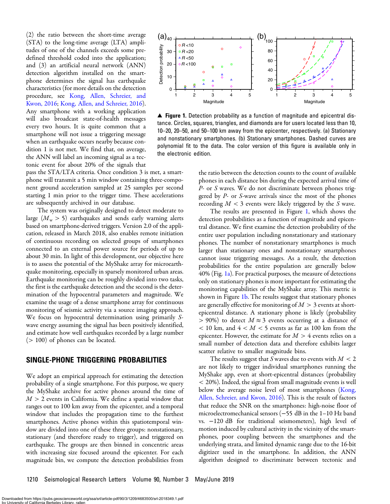<span id="page-1-0"></span>(2) the ratio between the short-time average (STA) to the long-time average (LTA) amplitudes of one of the channels exceeds some predefined threshold coded into the application; and (3) an artificial neural network (ANN) detection algorithm installed on the smartphone determines the signal has earthquake characteristics (for more details on the detection procedure, see [Kong, Allen, Schreier, and](#page-8-0) [Kwon, 2016;](#page-8-0) [Kong, Allen, and Schreier, 2016](#page-8-0)). Any smartphone with a working application will also broadcast state-of-health messages every two hours. It is quite common that a smartphone will not issue a triggering message when an earthquake occurs nearby because condition 1 is not met. We find that, on average, the ANN will label an incoming signal as a tectonic event for about 20% of the signals that

pass the STA/LTA criteria. Once condition 3 is met, a smartphone will transmit a 5 min window containing three-component ground acceleration sampled at 25 samples per second starting 1 min prior to the trigger time. These accelerations are subsequently archived in our database.

The system was originally designed to detect moderate to large  $(M_{\rm w} > 5)$  earthquakes and sends early warning alerts based on smartphone-derived triggers. Version 2.0 of the application, released in March 2018, also enables remote initiation of continuous recording on selected groups of smartphones connected to an external power source for periods of up to about 30 min. In light of this development, our objective here is to assess the potential of the MyShake array for microearthquake monitoring, especially in sparsely monitored urban areas. Earthquake monitoring can be roughly divided into two tasks, the first is the earthquake detection and the second is the determination of the hypocentral parameters and magnitude. We examine the usage of a dense smartphone array for continuous monitoring of seismic activity via a source imaging approach. We focus on hypocentral determination using primarily Swave energy assuming the signal has been positively identified, and estimate how well earthquakes recorded by a large number  $(> 100)$  of phones can be located.

## SINGLE-PHONE TRIGGERING PROBABILITIES

We adopt an empirical approach for estimating the detection probability of a single smartphone. For this purpose, we query the MyShake archive for active phones around the time of  $M > 2$  events in California. We define a spatial window that ranges out to 100 km away from the epicenter, and a temporal window that includes the propagation time to the furthest smartphones. Active phones within this spatiotemporal window are divided into one of these three groups: nonstationary, stationary (and therefore ready to trigger), and triggered on earthquake. The groups are then binned in concentric areas with increasing size focused around the epicenter. For each magnitude bin, we compute the detection probabilities from



▲ Figure 1. Detection probability as a function of magnitude and epicentral distance. Circles, squares, triangles, and diamonds are for users located less than 10, 10–20, 20–50, and 50–100 km away from the epicenter, respectively. (a) Stationary and nonstationary smartphones. (b) Stationary smartphones. Dashed curves are polynomial fit to the data. The color version of this figure is available only in the electronic edition.

the ratio between the detection counts to the count of available phones in each distance bin during the expected arrival time of P- or S waves. We do not discriminate between phones triggered by P- or S-wave arrivals since the most of the phones recording  $M < 3$  events were likely triggered by the S wave.

The results are presented in Figure 1, which shows the detection probabilities as a function of magnitude and epicentral distance. We first examine the detection probability of the entire user population including nonstationary and stationary phones. The number of nonstationary smartphones is much larger than stationary ones and nonstationary smartphones cannot issue triggering messages. As a result, the detection probabilities for the entire population are generally below 40% (Fig. 1a). For practical purposes, the measure of detections only on stationary phones is more important for estimating the monitoring capabilities of the MyShake array. This metric is shown in Figure 1b. The results suggest that stationary phones are generally effective for monitoring of  $M > 3$  events at shortepicentral distance. A stationary phone is likely (probability  $> 90\%$ ) to detect  $M \approx 3$  events occurring at a distance of  $<$  10 km, and  $4 < M < 5$  events as far as 100 km from the epicenter. However, the estimate for  $M > 4$  events relies on a small number of detection data and therefore exhibits larger scatter relative to smaller magnitude bins.

The results suggest that S waves due to events with  $M < 2$ are not likely to trigger individual smartphones running the MyShake app, even at short-epicentral distances (probability < 20%). Indeed, the signal from small magnitude events is well below the average noise level of most smartphones ([Kong,](#page-8-0) [Allen, Schreier, and Kwon, 2016](#page-8-0)). This is the result of factors that reduce the SNR on the smartphones: high-noise floor of microelectromechanical sensors (−55 dB in the 1–10 Hz band vs. −120 dB for traditional seismometers), high level of motion induced by cultural activity in the vicinity of the smartphones, poor coupling between the smartphones and the underlying strata, and limited dynamic range due to the 16-bit digitizer used in the smartphone. In addition, the ANN algorithm designed to discriminate between tectonic and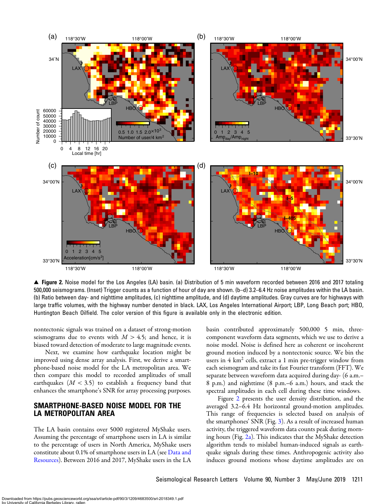<span id="page-2-0"></span>

▲ Figure 2. Noise model for the Los Angeles (LA) basin. (a) Distribution of 5 min waveform recorded between 2016 and 2017 totaling 500,000 seismograms. (Inset) Trigger counts as a function of hour of day are shown. (b–d) 3.2–6.4 Hz noise amplitudes within the LA basin. (b) Ratio between day- and nighttime amplitudes, (c) nighttime amplitude, and (d) daytime amplitudes. Gray curves are for highways with large traffic volumes, with the highway number denoted in black. LAX, Los Angeles International Airport; LBP, Long Beach port; HBO, Huntington Beach Oilfield. The color version of this figure is available only in the electronic edition.

nontectonic signals was trained on a dataset of strong-motion seismograms due to events with  $M > 4.5$ ; and hence, it is biased toward detection of moderate to large magnitude events.

Next, we examine how earthquake location might be improved using dense array analysis. First, we derive a smartphone-based noise model for the LA metropolitan area. We then compare this model to recorded amplitudes of small earthquakes ( $M < 3.5$ ) to establish a frequency band that enhances the smartphone's SNR for array processing purposes.

# SMARTPHONE-BASED NOISE MODEL FOR THE LA METROPOLITAN AREA

The LA basin contains over 5000 registered MyShake users. Assuming the percentage of smartphone users in LA is similar to the percentage of users in North America, MyShake users constitute about 0.1% of smartphone users in LA (see [Data and](#page-8-0) [Resources\)](#page-8-0). Between 2016 and 2017, MyShake users in the LA

basin contributed approximately 500,000 5 min, threecomponent waveform data segments, which we use to derive a noise model. Noise is defined here as coherent or incoherent ground motion induced by a nontectonic source. We bin the users in 4 km<sup>2</sup> cells, extract a 1 min pre-trigger window from each seismogram and take its fast Fourier transform (FFT). We separate between waveform data acquired during day- (6 a.m.– 8 p.m.) and nighttime (8 p.m.–6 a.m.) hours, and stack the spectral amplitudes in each cell during these time windows.

Figure 2 presents the user density distribution, and the averaged 3.2–6.4 Hz horizontal ground-motion amplitudes. This range of frequencies is selected based on analysis of the smartphones' SNR (Fig. [3\)](#page-3-0). As a result of increased human activity, the triggered waveform data counts peak during morning hours (Fig. 2a). This indicates that the MyShake detection algorithm tends to mislabel human-induced signals as earthquake signals during these times. Anthropogenic activity also induces ground motions whose daytime amplitudes are on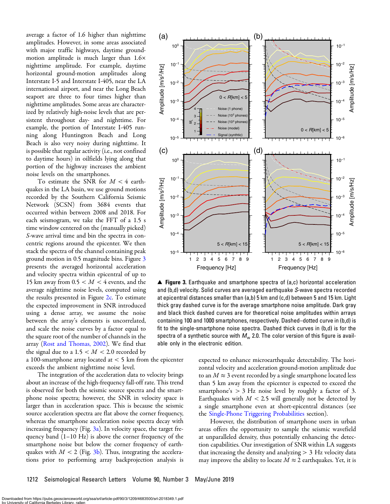<span id="page-3-0"></span>average a factor of 1.6 higher than nighttime amplitudes. However, in some areas associated with major traffic highways, daytime groundmotion amplitude is much larger than  $1.6\times$ nighttime amplitude. For example, daytime horizontal ground-motion amplitudes along Interstate I-5 and Interstate I-405, near the LA international airport, and near the Long Beach seaport are three to four times higher than nighttime amplitudes. Some areas are characterized by relatively high-noise levels that are persistent throughout day- and nighttime. For example, the portion of Interstate I-405 running along Huntington Beach and Long Beach is also very noisy during nighttime. It is possible that regular activity (i.e., not confined to daytime hours) in oilfields lying along that portion of the highway increases the ambient noise levels on the smartphones.

To estimate the SNR for  $M < 4$  earthquakes in the LA basin, we use ground motions recorded by the Southern California Seismic Network (SCSN) from 3684 events that occurred within between 2008 and 2018. For each seismogram, we take the FFT of a 1.5 s time window centered on the (manually picked) S-wave arrival time and bin the spectra in concentric regions around the epicenter. We then stack the spectra of the channel containing peak ground motion in 0.5 magnitude bins. Figure 3 presents the averaged horizontal acceleration and velocity spectra within epicentral of up to 15 km away from  $0.5 < M < 4$  events, and the average nighttime noise levels, computed using the results presented in Figure [2c.](#page-2-0) To estimate the expected improvement in SNR introduced using a dense array, we assume the noise between the array's elements is uncorrelated, and scale the noise curves by a factor equal to the square root of the number of channels in the array ([Rost and Thomas, 2002](#page-8-0)). We find that the signal due to a  $1.5 < M < 2.0$  recorded by

a 100-smartphone array located at < 5 km from the epicenter exceeds the ambient nighttime noise level.

The integration of the acceleration data to velocity brings about an increase of the high-frequency fall-off rate. This trend is observed for both the seismic source spectra and the smartphone noise spectra; however, the SNR in velocity space is larger than in acceleration space. This is because the seismic source acceleration spectra are flat above the corner frequency, whereas the smartphone acceleration noise spectra decay with increasing frequency (Fig.  $3a$ ). In velocity space, the target frequency band (1–10 Hz) is above the corner frequency of the smartphone noise but below the corner frequency of earthquakes with  $M < 2$  (Fig. 3b). Thus, integrating the accelerations prior to performing array backprojection analysis is



▲ Figure 3. Earthquake and smartphone spectra of (a,c) horizontal acceleration and (b,d) velocity. Solid curves are averaged earthquake S-wave spectra recorded at epicentral distances smaller than (a,b) 5 km and (c,d) between 5 and 15 km. Light thick gray dashed curve is for the average smartphone noise amplitude. Dark gray and black thick dashed curves are for theoretical noise amplitudes within arrays containing 100 and 1000 smartphones, respectively. Dashed–dotted curve in (b,d) is fit to the single-smartphone noise spectra. Dashed thick curves in (b,d) is for the spectra of a synthetic source with  $M_w$  2.0. The color version of this figure is available only in the electronic edition.

expected to enhance microearthquake detectability. The horizontal velocity and acceleration ground-motion amplitude due to an  $M \approx 3$  event recorded by a single smartphone located less than 5 km away from the epicenter is expected to exceed the smartphone's > 3 Hz noise level by roughly a factor of 3. Earthquakes with  $M < 2.5$  will generally not be detected by a single smartphone even at short-epicentral distances (see the [Single-Phone Triggering Probabilities](#page-1-0) section).

However, the distribution of smartphone users in urban areas offers the opportunity to sample the seismic wavefield at unparalleled density, thus potentially enhancing the detection capabilities. Our investigation of SNR within LA suggests that increasing the density and analyzing  $> 3$  Hz velocity data may improve the ability to locate  $M \approx 2$  earthquakes. Yet, it is

1212 Seismological Research Letters Volume 90, Number 3 May/June 2019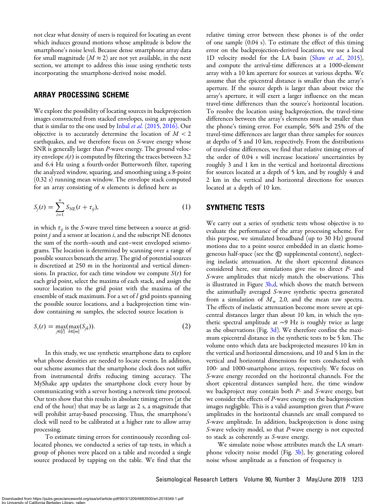<span id="page-4-0"></span>not clear what density of users is required for locating an event which induces ground motions whose amplitude is below the smartphone's noise level. Because dense smartphone array data for small magnitude ( $M \approx 2$ ) are not yet available, in the next section, we attempt to address this issue using synthetic tests incorporating the smartphone-derived noise model.

## ARRAY PROCESSING SCHEME

We explore the possibility of locating sources in backprojection images constructed from stacked envelopes, using an approach that is similar to the one used by Inbal et al. [\(2015,](#page-8-0) [2016\).](#page-8-0) Our objective is to accurately determine the location of  $M < 2$ earthquakes, and we therefore focus on S-wave energy whose SNR is generally larger than P-wave energy. The ground velocity envelope  $s(t)$  is computed by filtering the traces between 3.2 and 6.4 Hz using a fourth-order Butterworth filter, tapering the analyzed window, squaring, and smoothing using a 8-point (0.32 s) running mean window. The envelope stack computed for an array consisting of  $n$  elements is defined here as

$$
S_j(t) = \sum_{i=1}^n S_{NE}(t + \tau_{ij}),
$$
 (1)

in which  $\tau_{ii}$  is the S-wave travel time between a source at gridpoint  $j$  and a sensor at location  $i$ , and the subscript NE denotes the sum of the north–south and east–west enveloped seismograms. The location is determined by scanning over a range of possible sources beneath the array. The grid of potential sources is discretized at 250 m in the horizontal and vertical dimensions. In practice, for each time window we compute  $S(t)$  for each grid point, select the maxima of each stack, and assign the source location to the grid point with the maxima of the ensemble of stack maximum. For a set of  $l$  grid points spanning the possible source locations, and a backprojection time window containing *m* samples, the selected source location is

$$
S_{s}(t) = \max_{j \in [l]} (\max_{k \in [m]} (S_{jk})).
$$
\n(2)

In this study, we use synthetic smartphone data to explore what phone densities are needed to locate events. In addition, our scheme assumes that the smartphone clock does not suffer from instrumental drifts reducing timing accuracy. The MyShake app updates the smartphone clock every hour by communicating with a server hosting a network time protocol. Our tests show that this results in absolute timing errors (at the end of the hour) that may be as large as 2 s, a magnitude that will prohibit array-based processing. Thus, the smartphone's clock will need to be calibrated at a higher rate to allow array processing.

To estimate timing errors for continuously recording collocated phones, we conducted a series of tap tests, in which a group of phones were placed on a table and recorded a single source produced by tapping on the table. We find that the relative timing error between these phones is of the order of one sample (0.04 s). To estimate the effect of this timing error on the backprojection-derived locations, we use a local 1D velocity model for the LA basin (Shaw et al.[, 2015](#page-8-0)), and compute the arrival-time differences at a 1000-element array with a 10 km aperture for sources at various depths. We assume that the epicentral distance is smaller than the array's aperture. If the source depth is larger than about twice the array's aperture, it will exert a larger influence on the mean travel-time differences than the source's horizontal location. To resolve the location using backprojection, the travel-time differences between the array's elements must be smaller than the phone's timing error. For example, 56% and 25% of the travel-time differences are larger than three samples for sources at depths of 5 and 10 km, respectively. From the distributions of travel-time differences, we find that relative timing errors of the order of 0.04 s will increase locations' uncertainties by roughly 3 and 1 km in the vertical and horizontal directions for sources located at a depth of 5 km, and by roughly 4 and 2 km in the vertical and horizontal directions for sources located at a depth of 10 km.

## SYNTHETIC TESTS

We carry out a series of synthetic tests whose objective is to evaluate the performance of the array processing scheme. For this purpose, we simulated broadband (up to 30 Hz) ground motions due to a point source embedded in an elastic homogeneous half-space (see the  $\textcircled{\tiny{\textregistered}}$  supplemental content), neglecting inelastic attenuation. At the short epicentral distances considered here, our simulations give rise to direct P- and S-wave amplitudes that nicely match the observations. This is illustrated in Figure  $3b,d$ , which shows the match between the azimuthally averaged S-wave synthetic spectra generated from a simulation of  $M_{\rm w}$  2.0, and the mean raw spectra. The effects of inelastic attenuation become more severe at epicentral distances larger than about 10 km, in which the synthetic spectral amplitude at ∼9 Hz is roughly twice as large as the observations (Fig.  $3d$ ). We therefore confine the maximum epicentral distance in the synthetic tests to be 5 km. The volume onto which data are backprojected measures 10 km in the vertical and horizontal dimensions, and 10 and 5 km in the vertical and horizontal dimensions for tests conducted with 100- and 1000-smartphone arrays, respectively. We focus on S-wave energy recorded on the horizontal channels. For the short epicentral distances sampled here, the time window we backproject may contain both  $P$ - and  $S$ -wave energy, but we consider the effects of  $P$ -wave energy on the backprojection images negligible. This is a valid assumption given that P-wave amplitudes in the horizontal channels are small compared to S-wave amplitude. In addition, backprojection is done using S-wave velocity model, so that P-wave energy is not expected to stack as coherently as S-wave energy.

We simulate noise whose attributes match the LA smart-phone velocity noise model (Fig. [3b](#page-3-0)), by generating colored noise whose amplitude as a function of frequency is

Downloaded from https://pubs.geoscienceworld.org/ssa/srl/article-pdf/90/3/1209/4683500/srl-2018349.1.pdf ev Library, rall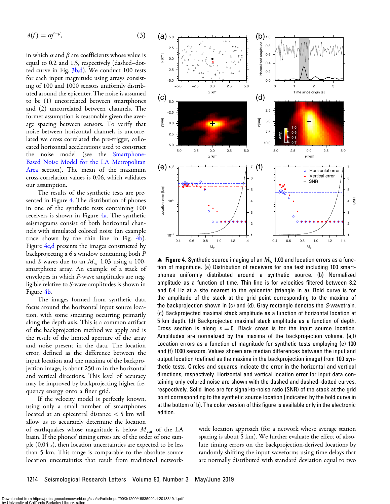<span id="page-5-0"></span>
$$
A(f) = \alpha f^{-\beta},\tag{3}
$$

in which  $\alpha$  and  $\beta$  are coefficients whose value is equal to 0.2 and 1.5, respectively (dashed–dotted curve in Fig. [3b,d\)](#page-3-0). We conduct 100 tests for each input magnitude using arrays consisting of 100 and 1000 sensors uniformly distributed around the epicenter. The noise is assumed to be (1) uncorrelated between smartphones and (2) uncorrelated between channels. The former assumption is reasonable given the average spacing between sensors. To verify that noise between horizontal channels is uncorrelated we cross correlated the pre-trigger, collocated horizontal accelerations used to construct the noise model (see the [Smartphone-](#page-2-0)[Based Noise Model for the LA Metropolitan](#page-2-0) [Area](#page-2-0) section). The mean of the maximum cross-correlation values is 0.06, which validates our assumption.

The results of the synthetic tests are presented in Figure 4. The distribution of phones in one of the synthetic tests containing 100 receivers is shown in Figure 4a. The synthetic seismograms consist of both horizontal channels with simulated colored noise (an example trace shown by the thin line in Fig. 4b). Figure 4c,d presents the images constructed by backprojecting a 6 s window containing both P and S waves due to an  $M_{\rm w}$  1.03 using a 100smartphone array. An example of a stack of envelopes in which P-wave amplitudes are negligible relative to S-wave amplitudes is shown in Figure 4b.

The images formed from synthetic data focus around the horizontal input source location, with some smearing occurring primarily along the depth axis. This is a common artifact of the backprojection method we apply and is the result of the limited aperture of the array and noise present in the data. The location error, defined as the difference between the input location and the maxima of the backprojection image, is about 250 m in the horizontal and vertical directions. This level of accuracy may be improved by backprojecting higher frequency energy onto a finer grid.

If the velocity model is perfectly known, using only a small number of smartphones located at an epicentral distance < 5 km will allow us to accurately determine the location

of earthquakes whose magnitude is below  $M<sub>cut</sub>$  of the LA basin. If the phones' timing errors are of the order of one sample (0.04 s), then location uncertainties are expected to be less than 5 km. This range is comparable to the absolute source location uncertainties that result from traditional network-



**▲ Figure 4.** Synthetic source imaging of an  $M_w$  1.03 and location errors as a function of magnitude. (a) Distribution of receivers for one test including 100 smartphones uniformly distributed around a synthetic source. (b) Normalized amplitude as a function of time. Thin line is for velocities filtered between 3.2 and 6.4 Hz at a site nearest to the epicenter (triangle in a). Bold curve is for the amplitude of the stack at the grid point corresponding to the maxima of the backprojection shown in (c) and (d). Gray rectangle denotes the S-wavetrain. (c) Backprojected maximal stack amplitude as a function of horizontal location at 5 km depth. (d) Backprojected maximal stack amplitude as a function of depth. Cross section is along  $x = 0$ . Black cross is for the input source location. Amplitudes are normalized by the maxima of the backprojection volume. (e,f) Location errors as a function of magnitude for synthetic tests employing (e) 100 and (f) 1000 sensors. Values shown are median differences between the input and output location (defined as the maxima in the backprojection image) from 100 synthetic tests. Circles and squares indicate the error in the horizontal and vertical directions, respectively. Horizontal and vertical location error for input data containing only colored noise are shown with the dashed and dashed–dotted curves, respectively. Solid lines are for signal-to-noise ratio (SNR) of the stack at the grid point corresponding to the synthetic source location (indicated by the bold curve in at the bottom of b). The color version of this figure is available only in the electronic edition.

wide location approach (for a network whose average station spacing is about 5 km). We further evaluate the effect of absolute timing errors on the backprojection-derived locations by randomly shifting the input waveforms using time delays that are normally distributed with standard deviation equal to two

Downloaded from https://pubs.geoscienceworld.org/ssa/srl/article-pdf/90/3/1209/4683500/srl-2018349.1.pdf **University of California Berkeley Library, rall**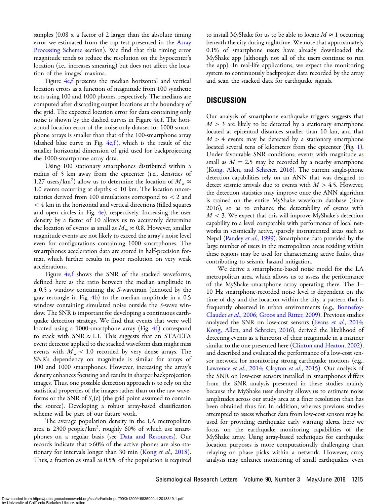samples (0.08 s, a factor of 2 larger than the absolute timing error we estimated from the tap test presented in the [Array](#page-4-0) [Processing Scheme](#page-4-0) section). We find that this timing error magnitude tends to reduce the resolution on the hypocenter's location (i.e., increases smearing) but does not affect the location of the images' maxima.

Figure [4e,f](#page-5-0) presents the median horizontal and vertical location errors as a function of magnitude from 100 synthetic tests using 100 and 1000 phones, respectively. The medians are computed after discarding output locations at the boundary of the grid. The expected location error for data containing only noise is shown by the dashed curves in Figure  $4e$ , f. The horizontal location error of the noise-only dataset for 1000-smartphone arrays is smaller than that of the 100-smartphone array (dashed blue curve in Fig.  $4e,f$ ), which is the result of the smaller horizontal dimension of grid used for backprojecting the 1000-smartphone array data.

Using 100 stationary smartphones distributed within a radius of 5 km away from the epicenter (i.e., densities of 1.27 users/km<sup>2</sup>) allow us to determine the location of  $M_{\rm w} \approx$ 1.0 events occurring at depths  $< 10$  km. The location uncertainties derived from 100 simulations correspond to < 2 and  $<$  4 km in the horizontal and vertical directions (filled squares and open circles in Fig.  $4e$ ), respectively. Increasing the user density by a factor of 10 allows us to accurately determine the location of events as small as  $M_{\rm w} \approx 0.8$ . However, smaller magnitude events are not likely to exceed the array's noise level even for configurations containing 1000 smartphones. The smartphones acceleration data are stored in half-precision format, which further results in poor resolution on very weak accelerations.

Figure  $4e, f$  shows the SNR of the stacked waveforms, defined here as the ratio between the median amplitude in a 0.5 s window containing the S-wavetrain (denoted by the gray rectangle in Fig.  $4b$ ) to the median amplitude in a 0.5 window containing simulated noise outside the S-wave window. The SNR is important for developing a continuous earthquake detection strategy. We find that events that were well located using a 1000-smartphone array (Fig. [4f](#page-5-0)) correspond to stack with SNR  $\approx$  1.1. This suggests that an STA/LTA event detector applied to the stacked waveform data might miss events with  $M_{\rm w}$  < 1.0 recorded by very dense arrays. The SNR's dependency on magnitude is similar for arrays of 100 and 1000 smartphones. However, increasing the array's density enhances focusing and results in sharper backprojection images. Thus, one possible detection approach is to rely on the statistical properties of the images rather than on the raw waveforms or the SNR of  $S<sub>s</sub>(t)$  (the grid point assumed to contain the source). Developing a robust array-based classification scheme will be part of our future work.

The average population density in the LA metropolitan area is 2300 people/ $km^2$ , roughly 60% of which use smartphones on a regular basis (see [Data and Resources](#page-8-0)). Our records indicate that >60% of the active phones are also sta-tionary for intervals longer than 30 min (Kong et al.[, 2018](#page-8-0)). Thus, a fraction as small as 0.5% of the population is required

to install MyShake for us to be able to locate  $M \approx 1$  occurring beneath the city during nighttime. We note that approximately 0.1% of smartphone users have already downloaded the MyShake app (although not all of the users continue to run the app). In real-life applications, we expect the monitoring system to continuously backproject data recorded by the array and scan the stacked data for earthquake signals.

# DISCUSSION

Our analysis of smartphone earthquake triggers suggests that  $M > 3$  are likely to be detected by a stationary smartphone located at epicentral distances smaller than 10 km, and that  $M > 4$  events may be detected by a stationary smartphone located several tens of kilometers from the epicenter (Fig. [1\)](#page-1-0). Under favourable SNR conditions, events with magnitude as small as  $M = 2.5$  may be recorded by a nearby smartphone [\(Kong, Allen, and Schreier, 2016](#page-8-0)). The current single-phone detection capabilities rely on an ANN that was designed to detect seismic arrivals due to events with  $M > 4.5$ . However, the detection statistics may improve once the ANN algorithm is trained on the entire MyShake waveform database (since 2016), so as to enhance the detectability of events with  $M < 3$ . We expect that this will improve MyShake's detection capability to a level comparable with performance of local networks in seismically active, sparsely instrumented areas such as Nepal [\(Pandey](#page-8-0) et al., 1999). Smartphone data provided by the large number of users in the metropolitan areas residing within these regions may be used for characterizing active faults, thus contributing to seismic hazard mitigation.

We derive a smartphone-based noise model for the LA metropolitan area, which allows us to assess the performance of the MyShake smartphone array operating there. The 1– 10 Hz smartphone-recorded noise level is dependent on the time of day and the location within the city, a pattern that is frequently observed in urban environments (e.g., [Bonnefoy-](#page-8-0)[Claudet](#page-8-0) et al., 2006; [Groos and Ritter, 2009\)](#page-8-0). Previous studies analyzed the SNR on low-cost sensors (Evans et al.[, 2014](#page-8-0); [Kong, Allen, and Schreier, 2016\)](#page-8-0), derived the likelihood of detecting events as a function of their magnitude in a manner similar to the one presented here ([Clinton and Heaton, 2002](#page-8-0)), and described and evaluated the performance of a low-cost sensor network for monitoring strong earthquake motions (e.g., [Lawrence](#page-8-0) et al., 2014; [Clayton](#page-8-0) et al., 2015). Our analysis of the SNR on low-cost sensors installed in smartphones differs from the SNR analysis presented in these studies mainly because the MyShake user density allows us to estimate noise amplitudes across our study area at a finer resolution than has been obtained thus far. In addition, whereas previous studies attempted to assess whether data from low-cost sensors may be used for providing earthquake early warning alerts, here we focus on the earthquake monitoring capabilities of the MyShake array. Using array-based techniques for earthquake location purposes is more computationally challenging than relaying on phase picks within a network. However, array analysis may enhance monitoring of small earthquakes, even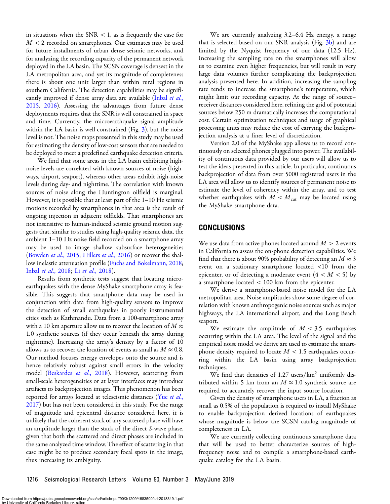in situations when the  $SNR < 1$ , as is frequently the case for  $M < 2$  recorded on smartphones. Our estimates may be used for future installments of urban dense seismic networks, and for analyzing the recording capacity of the permanent network deployed in the LA basin. The SCSN coverage is densest in the LA metropolitan area, and yet its magnitude of completeness there is about one unit larger than within rural regions in southern California. The detection capabilities may be signifi-cantly improved if dense array data are available [\(Inbal](#page-8-0) et al., [2015](#page-8-0), [2016](#page-8-0)). Assessing the advantages from future dense deployments requires that the SNR is well constrained in space and time. Currently, the microearthquake signal amplitude within the LA basin is well constrained (Fig. [3](#page-3-0)), but the noise level is not. The noise maps presented in this study may be used for estimating the density of low-cost sensors that are needed to be deployed to meet a predefined earthquake detection criteria.

We find that some areas in the LA basin exhibiting highnoise levels are correlated with known sources of noise (highways, airport, seaport), whereas other areas exhibit high-noise levels during day- and nighttime. The correlation with known sources of noise along the Huntington oilfield is marginal. However, it is possible that at least part of the 1–10 Hz seismic motions recorded by smartphones in that area is the result of ongoing injection in adjacent oilfields. That smartphones are not insensitive to human-induced seismic ground motion suggests that, similar to studies using high-quality seismic data, the ambient 1–10 Hz noise field recorded on a smartphone array may be used to image shallow subsurface heterogeneities ([Bowden](#page-8-0) et al., 2015; [Hillers](#page-8-0) et al., 2016) or recover the shallow inelastic attenuation profile [\(Fuchs and Bokelmann, 2018;](#page-8-0) Inbal et al.[, 2018](#page-8-0); Li et al.[, 2018](#page-8-0)).

Results from synthetic tests suggest that locating microearthquakes with the dense MyShake smartphone array is feasible. This suggests that smartphone data may be used in conjunction with data from high-quality sensors to improve the detection of small earthquakes in poorly instrumented cities such as Kathmandu. Data from a 100-smartphone array with a 10 km aperture allow us to recover the location of  $M \approx$ 1:0 synthetic sources (if they occur beneath the array during nighttime). Increasing the array's density by a factor of 10 allows us to recover the location of events as small as  $M \approx 0.8$ . Our method focuses energy envelopes onto the source and is hence relatively robust against small errors in the velocity model ([Beskardes](#page-8-0) et al., 2018). However, scattering from small-scale heterogeneities or at layer interfaces may introduce artifacts to backprojection images. This phenomenon has been reported for arrays located at teleseismic distances ([Yue](#page-9-0) et al., [2017](#page-9-0)) but has not been considered in this study. For the range of magnitude and epicentral distance considered here, it is unlikely that the coherent stack of any scattered phase will have an amplitude larger than the stack of the direct S-wave phase, given that both the scattered and direct phases are included in the same analyzed time window. The effect of scattering in that case might be to produce secondary focal spots in the image, thus increasing its ambiguity.

We are currently analyzing 3.2–6.4 Hz energy, a range that is selected based on our SNR analysis (Fig. [3b\)](#page-3-0) and are limited by the Nyquist frequency of our data (12.5 Hz). Increasing the sampling rate on the smartphones will allow us to examine even higher frequencies, but will result in very large data volumes further complicating the backprojection analysis presented here. In addition, increasing the sampling rate tends to increase the smartphone's temperature, which might limit our recording capacity. At the range of source– receiver distances considered here, refining the grid of potential sources below 250 m dramatically increases the computational cost. Certain optimization techniques and usage of graphical processing units may reduce the cost of carrying the backprojection analysis at a finer level of discretization.

Version 2.0 of the MyShake app allows us to record continuously on selected phones plugged into power. The availability of continuous data provided by our users will allow us to test the ideas presented in this article. In particular, continuous backprojection of data from over 5000 registered users in the LA area will allow us to identify sources of permanent noise to estimate the level of coherency within the array, and to test whether earthquakes with  $M < M<sub>cut</sub>$  may be located using the MyShake smartphone data.

## **CONCLUSIONS**

We use data from active phones located around  $M > 2$  events in California to assess the on-phone detection capabilities. We find that there is about 90% probability of detecting an  $M \approx 3$ event on a stationary smartphone located <10 from the epicenter, or of detecting a moderate event  $(4 < M < 5)$  by a smartphone located < 100 km from the epicenter.

We derive a smartphone-based noise model for the LA metropolitan area. Noise amplitudes show some degree of correlation with known anthropogenic noise sources such as major highways, the LA international airport, and the Long Beach seaport.

We estimate the amplitude of  $M < 3.5$  earthquakes occurring within the LA area. The level of the signal and the empirical noise model we derive are used to estimate the smartphone density required to locate  $M < 1.5$  earthquakes occurring within the LA basin using array backprojection techniques.

We find that densities of  $1.27$  users/km<sup>2</sup> uniformly distributed within 5 km from an  $M \approx 1.0$  synthetic source are required to accurately recover the input source location.

Given the density of smartphone users in LA, a fraction as small as 0.5% of the population is required to install MyShake to enable backprojection derived locations of earthquakes whose magnitude is below the SCSN catalog magnitude of completeness in LA.

We are currently collecting continuous smartphone data that will be used to better characterize sources of highfrequency noise and to compile a smartphone-based earthquake catalog for the LA basin.

1216 Seismological Research Letters Volume 90, Number 3 May/June 2019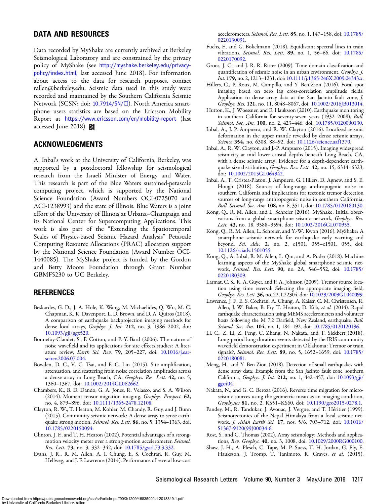# <span id="page-8-0"></span>DATA AND RESOURCES

Data recorded by MyShake are currently archived at Berkeley Seismological Laboratory and are constrained by the privacy policy of MyShake (see [http://myshake.berkeley.edu/privacy](http://myshake.berkeley.edu/privacy-policy/index.html)[policy/index.html](http://myshake.berkeley.edu/privacy-policy/index.html), last accessed June 2018). For information about access to the data for research purposes, contact rallen@berkeley.edu. Seismic data used in this study were recorded and maintained by the Southern California Seismic Network (SCSN; doi: [10.7914/SN/CI](http://dx.doi.org/10.7914/SN/CI)). North America smartphone users statistics are based on the Ericsson Mobility Report at <https://www.ericsson.com/en/mobility-report> (last accessed June 2018).

## ACKNOWLEDGMENTS

A. Inbal's work at the University of California, Berkeley, was supported by a postdoctoral fellowship for seismological research from the Israeli Minister of Energy and Water. This research is part of the Blue Waters sustained-petascale computing project, which is supported by the National Science Foundation (Award Numbers OCI-0725070 and ACI-1238993) and the state of Illinois. Blue Waters is a joint effort of the University of Illinois at Urbana–Champaign and its National Center for Supercomputing Applications. This work is also part of the "Extending the Spatiotemporal Scales of Physics-based Seismic Hazard Analysis" Petascale Computing Resource Allocations (PRAC) allocation support by the National Science Foundation (Award Number OCI-1440085). The MyShake project is funded by the Gordon and Betty Moore Foundation through Grant Number GBMF5230 to UC Berkeley.

#### REFERENCES

- Beskardes, G. D., J. A. Hole, K. Wang, M. Michaelides, Q. Wu, M. C. Chapman, K. K. Davenport, L. D. Brown, and D. A. Quiros (2018). A comparison of earthquake backprojection imaging methods for dense local arrays, Geophys. J. Int. 212, no. 3, 1986–2002, doi: [10.1093/gji/ggx520.](http://dx.doi.org/10.1093/gji/ggx520)
- Bonnefoy-Claudet, S., F. Cotton, and P.-Y. Bard (2006). The nature of noise wavefield and its applications for site effects studies: A literature review, *Earth Sci. Rev.* 79, 205-227, doi: [10.1016/j.ear](http://dx.doi.org/10.1016/j.earscirev.2006.07.004)[scirev.2006.07.004](http://dx.doi.org/10.1016/j.earscirev.2006.07.004).
- Bowden, D. C., V. C. Tsai, and F. C. Lin (2015). Site amplification, attenuation, and scattering from noise correlation amplitudes across a dense array in Long Beach, CA, Geophys. Res. Lett. 42, no. 5, 1360–1367, doi: [10.1002/2014GL062662](http://dx.doi.org/10.1002/2014GL062662).
- Chambers, K., B. D. Dando, G. A. Jones, R. Velasco, and S. A. Wilson (2014). Moment tensor migration imaging, Geophys. Prospect. 62, no. 4, 879–896, doi: [10.1111/1365-2478.12108.](http://dx.doi.org/10.1111/1365-2478.12108)
- Clayton, R. W., T. Heaton, M. Kohler, M. Chandy, R. Guy, and J. Bunn (2015). Community seismic network: A dense array to sense earthquake strong motion, Seismol. Res. Lett. 86, no. 5, 1354-1363, doi: [10.1785/0220150094](http://dx.doi.org/10.1785/0220150094).
- Clinton, J. F., and T. H. Heaton (2002). Potential advantages of a strongmotion velocity meter over a strong-motion accelerometer, Seismol. Res. Lett. 73, no. 3, 332–342, doi: [10.1785/gssrl.73.3.332.](http://dx.doi.org/10.1785/gssrl.73.3.332)
- Evans, J. R., R. M. Allen, A. I. Chung, E. S. Cochran, R. Guy, M. Hellweg, and J. F. Lawrence (2014). Performance of several low-cost

accelerometers, Seismol. Res. Lett. 85, no. 1, 147–158, doi: [10.1785/](http://dx.doi.org/10.1785/0220130091) [0220130091](http://dx.doi.org/10.1785/0220130091).

- Fuchs, F., and G. Bokelmann (2018). Equidistant spectral lines in train vibrations, Seismol. Res. Lett. 89, no. 1, 56–66, doi: [10.1785/](http://dx.doi.org/10.1785/0220170092) [0220170092](http://dx.doi.org/10.1785/0220170092).
- Groos, J. C., and J. R. R. Ritter (2009). Time domain classification and quantification of seismic noise in an urban environment, Geophys. J. Int. 179, no. 2, 1213-1231, doi: [10.1111/j.1365-246X.2009.04343.x](http://dx.doi.org/10.1111/j.1365-246X.2009.04343.x).
- Hillers, G., P. Roux, M. Campillo, and Y. Ben-Zion (2016). Focal spot imaging based on zero lag cross-correlation amplitude fields: Application to dense array data at the San Jacinto fault zone, J. Geophys. Res. 121, no. 11, 8048-8067, doi: [10.1002/2016JB013014](http://dx.doi.org/10.1002/2016JB013014).
- Hutton, K., J. Woessner, and E. Hauksson (2010). Earthquake monitoring in southern California for seventy-seven years (1932–2008), Bull. Seismol. Soc. Am. 100, no. 2, 423-446, doi: [10.1785/0120090130](http://dx.doi.org/10.1785/0120090130).
- Inbal, A., J. P. Ampuero, and R. W. Clayton (2016). Localized seismic deformation in the upper mantle revealed by dense seismic arrays, Science 354, no. 6308, 88-92, doi: [10.1126/science.aaf1370.](http://dx.doi.org/10.1126/science.aaf1370)
- Inbal, A., R. W. Clayton, and J.-P. Ampuero (2015). Imaging widespread seismicity at mid lower crustal depths beneath Long Beach, CA, with a dense seismic array: Evidence for a depth-dependent earthquake size distribution, Geophys. Res. Lett. 42, no. 15, 6314-6323, doi: [10.1002/2015GL064942](http://dx.doi.org/10.1002/2015GL064942).
- Inbal, A., T. Cristea-Platon, J. Ampuero, G. Hillers, D. Agnew, and S. E. Hough (2018). Sources of long-range anthropogenic noise in southern California and implications for tectonic tremor detection sources of long-range anthropogenic noise in southern California, Bull. Seismol. Soc. Am. 108, no. 6, 3511, doi: [10.1785/0120180130](http://dx.doi.org/10.1785/0120180130).
- Kong, Q., R. M. Allen, and L. Schreier (2016). MyShake: Initial observations from a global smartphone seismic network, Geophys. Res. Lett. 43, no. 18, 9588-9594, doi: [10.1002/2016GL070955](http://dx.doi.org/10.1002/2016GL070955).
- Kong, Q., R. M. Allen, L. Schreier, and Y.-W. Kwon (2016). MyShake: A smartphone seismic network for earthquake early warning and beyond, Sci. Adv. 2, no. 2, e1501, 055–e1501, 055, doi: [10.1126/sciadv.1501055.](http://dx.doi.org/10.1126/sciadv.1501055)
- Kong, Q., A. Inbal, R. M. Allen, L. Qin, and A. Puder (2018). Machine learning aspects of the MyShake global smartphone seismic network, Seismol. Res. Lett. 90, no. 2A, 546–552, doi: [10.1785/](http://dx.doi.org/10.1785/0220180309) [0220180309](http://dx.doi.org/10.1785/0220180309).
- Larmat, C. S., R. A. Guyer, and P. A. Johnson (2009). Tremor source location using time reversal: Selecting the appropriate imaging field, Geophys. Res. Lett. 36, no. 22, L22304, doi: [10.1029/2009GL040099](http://dx.doi.org/10.1029/2009GL040099).
- Lawrence, J. F., E. S. Cochran, A. Chung, A. Kaiser, C. M. Christensen, R. Allen, J. W. Baker, B. Fry, T. Heaton, D. Kilb, et al. (2014). Rapid earthquake characterization using MEMS accelerometers and volunteer hosts following the M 7.2 Darfield, New Zealand, earthquake, *Bull.* Seismol. Soc. Am. 104, no. 1, 184-192, doi: [10.1785/0120120196](http://dx.doi.org/10.1785/0120120196).
- Li, C., Z. Li, Z. Peng, C. Zhang, N. Nakata, and T. Sickbert (2018). Long-period long-duration events detected by the IRIS community wavefield demonstration experiment in Oklahoma: Tremor or train signals?, Seismol. Res. Lett. 89, no. 5, 1652–1659, doi: [10.1785/](http://dx.doi.org/10.1785/0220180081) [0220180081](http://dx.doi.org/10.1785/0220180081).
- Meng, H., and Y. Ben-Zion (2018). Detection of small earthquakes with dense array data: Example from the San Jacinto fault zone, southern California, Geophys. J. Int. 212, no. 1, 442–457, doi: [10.1093/gji/](http://dx.doi.org/10.1093/gji/ggx404) [ggx404](http://dx.doi.org/10.1093/gji/ggx404).
- Nakata, N., and G. C. Beroza (2016). Reverse time migration for microseismic sources using the geometric mean as an imaging condition, Geophysics 81, no. 2, KS51–KS60, doi: [10.1190/geo2015-0278.1](http://dx.doi.org/10.1190/geo2015-0278.1).
- Pandey, M., R. Tandukar, J. Avouac, J. Vergne, and T. Héritier (1999). Seismotectonics of the Nepal Himalaya from a local seismic network, J. Asian Earth Sci. 17, nos. 5/6, 703–712, doi: [10.1016/](http://dx.doi.org/10.1016/S1367-9120(99)00034-6) [S1367-9120\(99\)00034-6](http://dx.doi.org/10.1016/S1367-9120(99)00034-6).
- Rost, S., and C. Thomas (2002). Array seismology: Methods and applications, Rev. Geophys. 40, no. 3, 1008, doi: [10.1029/2000RG000100](http://dx.doi.org/10.1029/2000RG000100).
- Shaw, J. H., A. Plesch, C. Tape, M. P. Suess, T. H. Jordan, G. Ely, E. Hauksson, J. Tromp, T. Tanimoto, R. Graves, et al. (2015).

Downloaded from https://pubs.geoscienceworld.org/ssa/srl/article-pdf/90/3/1209/4683500/srl-2018349.1.pdf by University of California Berkeley Library, rall